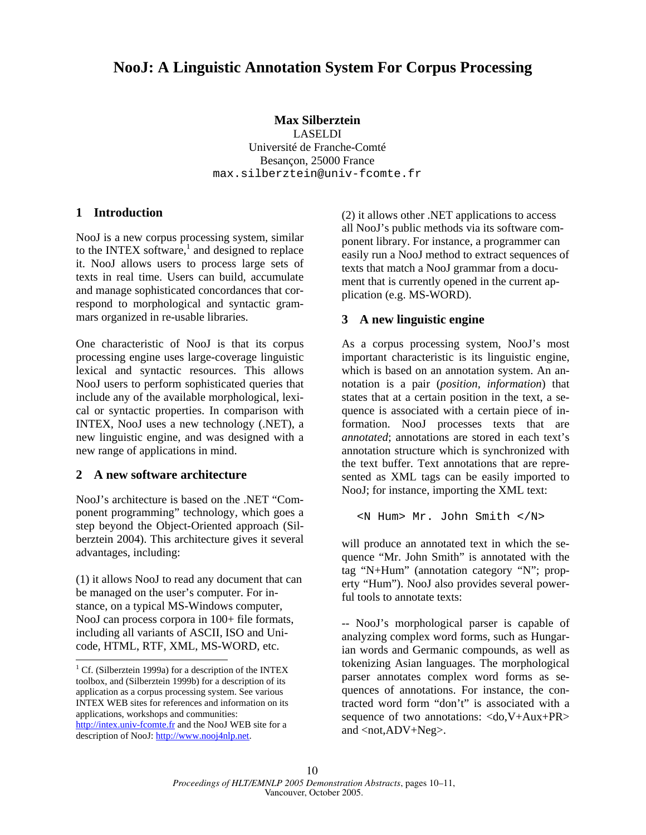# **NooJ: A Linguistic Annotation System For Corpus Processing**

#### **Max Silberztein**

LASELDI Université de Franche-Comté Besançon, 25000 France max.silberztein@univ-fcomte.fr

#### **1 Introduction**

NooJ is a new corpus processing system, similar to the INTEX software, $<sup>1</sup>$  and designed to replace</sup> it. NooJ allows users to process large sets of texts in real time. Users can build, accumulate and manage sophisticated concordances that correspond to morphological and syntactic grammars organized in re-usable libraries.

One characteristic of NooJ is that its corpus processing engine uses large-coverage linguistic lexical and syntactic resources. This allows NooJ users to perform sophisticated queries that include any of the available morphological, lexical or syntactic properties. In comparison with INTEX, NooJ uses a new technology (.NET), a new linguistic engine, and was designed with a new range of applications in mind.

# **2 A new software architecture**

NooJ's architecture is based on the .NET "Component programming" technology, which goes a step beyond the Object-Oriented approach (Silberztein 2004). This architecture gives it several advantages, including:

(1) it allows NooJ to read any document that can be managed on the user's computer. For instance, on a typical MS-Windows computer, NooJ can process corpora in 100+ file formats, including all variants of ASCII, ISO and Unicode, HTML, RTF, XML, MS-WORD, etc.

 $\overline{\phantom{a}}$ 

(2) it allows other .NET applications to access all NooJ's public methods via its software component library. For instance, a programmer can easily run a NooJ method to extract sequences of texts that match a NooJ grammar from a document that is currently opened in the current application (e.g. MS-WORD).

# **3 A new linguistic engine**

As a corpus processing system, NooJ's most important characteristic is its linguistic engine, which is based on an annotation system. An annotation is a pair (*position, information*) that states that at a certain position in the text, a sequence is associated with a certain piece of information. NooJ processes texts that are *annotated*; annotations are stored in each text's annotation structure which is synchronized with the text buffer. Text annotations that are represented as XML tags can be easily imported to NooJ; for instance, importing the XML text:

<N Hum> Mr. John Smith </N>

will produce an annotated text in which the sequence "Mr. John Smith" is annotated with the tag "N+Hum" (annotation category "N"; property "Hum"). NooJ also provides several powerful tools to annotate texts:

-- NooJ's morphological parser is capable of analyzing complex word forms, such as Hungarian words and Germanic compounds, as well as tokenizing Asian languages. The morphological parser annotates complex word forms as sequences of annotations. For instance, the contracted word form "don't" is associated with a sequence of two annotations: <do,V+Aux+PR> and <not,ADV+Neg>.

<sup>&</sup>lt;sup>1</sup> Cf. (Silberztein 1999a) for a description of the INTEX toolbox, and (Silberztein 1999b) for a description of its application as a corpus processing system. See various INTEX WEB sites for references and information on its applications, workshops and communities: http://intex.univ-fcomte.fr and the NooJ WEB site for a

description of NooJ: http://www.nooj4nlp.net.